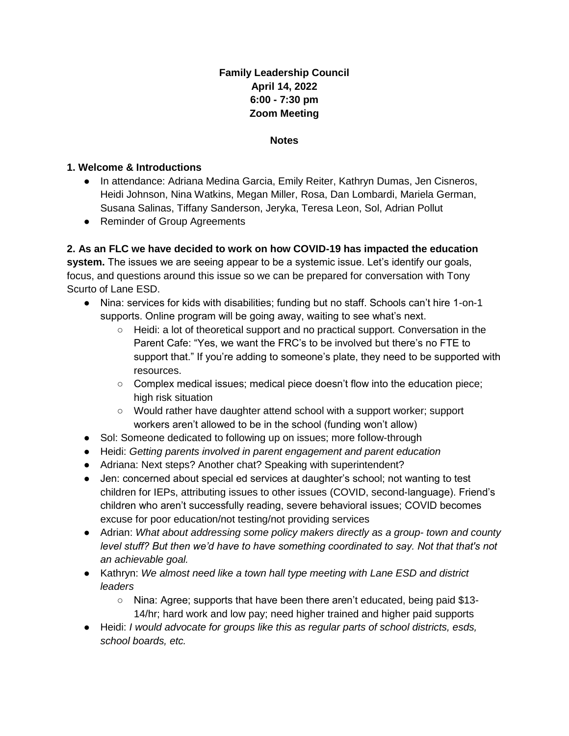# **Family Leadership Council April 14, 2022 6:00 - 7:30 pm Zoom Meeting**

#### **Notes**

### **1. Welcome & Introductions**

- In attendance: Adriana Medina Garcia, Emily Reiter, Kathryn Dumas, Jen Cisneros, Heidi Johnson, Nina Watkins, Megan Miller, Rosa, Dan Lombardi, Mariela German, Susana Salinas, Tiffany Sanderson, Jeryka, Teresa Leon, Sol, Adrian Pollut
- Reminder of Group Agreements

**2. As an FLC we have decided to work on how COVID-19 has impacted the education system.** The issues we are seeing appear to be a systemic issue. Let's identify our goals, focus, and questions around this issue so we can be prepared for conversation with Tony Scurto of Lane ESD.

- Nina: services for kids with disabilities; funding but no staff. Schools can't hire 1-on-1 supports. Online program will be going away, waiting to see what's next.
	- Heidi: a lot of theoretical support and no practical support. Conversation in the Parent Cafe: "Yes, we want the FRC's to be involved but there's no FTE to support that." If you're adding to someone's plate, they need to be supported with resources.
	- Complex medical issues; medical piece doesn't flow into the education piece; high risk situation
	- Would rather have daughter attend school with a support worker; support workers aren't allowed to be in the school (funding won't allow)
- Sol: Someone dedicated to following up on issues; more follow-through
- Heidi: *Getting parents involved in parent engagement and parent education*
- Adriana: Next steps? Another chat? Speaking with superintendent?
- Jen: concerned about special ed services at daughter's school; not wanting to test children for IEPs, attributing issues to other issues (COVID, second-language). Friend's children who aren't successfully reading, severe behavioral issues; COVID becomes excuse for poor education/not testing/not providing services
- Adrian: *What about addressing some policy makers directly as a group- town and county level stuff? But then we'd have to have something coordinated to say. Not that that's not an achievable goal.*
- Kathryn: *We almost need like a town hall type meeting with Lane ESD and district leaders*
	- Nina: Agree; supports that have been there aren't educated, being paid \$13- 14/hr; hard work and low pay; need higher trained and higher paid supports
- Heidi: *I would advocate for groups like this as regular parts of school districts, esds, school boards, etc.*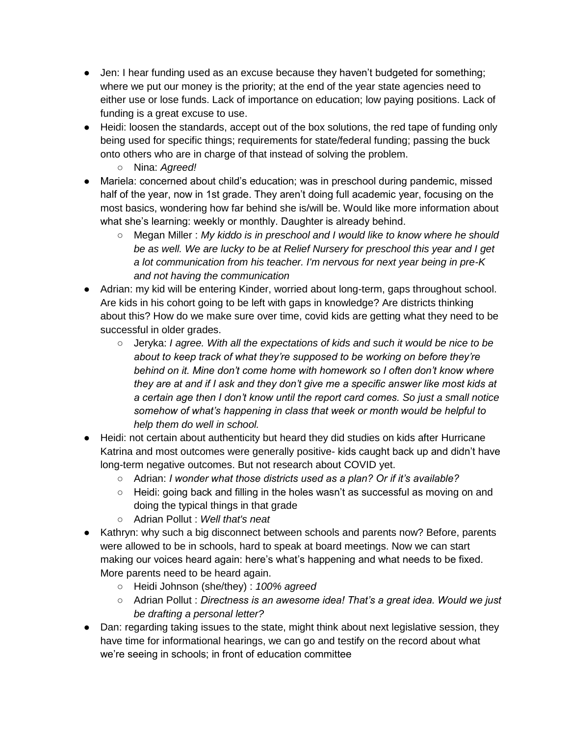- Jen: I hear funding used as an excuse because they haven't budgeted for something; where we put our money is the priority; at the end of the year state agencies need to either use or lose funds. Lack of importance on education; low paying positions. Lack of funding is a great excuse to use.
- Heidi: loosen the standards, accept out of the box solutions, the red tape of funding only being used for specific things; requirements for state/federal funding; passing the buck onto others who are in charge of that instead of solving the problem.
	- Nina: *Agreed!*
- Mariela: concerned about child's education; was in preschool during pandemic, missed half of the year, now in 1st grade. They aren't doing full academic year, focusing on the most basics, wondering how far behind she is/will be. Would like more information about what she's learning: weekly or monthly. Daughter is already behind.
	- Megan Miller : *My kiddo is in preschool and I would like to know where he should be as well. We are lucky to be at Relief Nursery for preschool this year and I get a lot communication from his teacher. I'm nervous for next year being in pre-K and not having the communication*
- Adrian: my kid will be entering Kinder, worried about long-term, gaps throughout school. Are kids in his cohort going to be left with gaps in knowledge? Are districts thinking about this? How do we make sure over time, covid kids are getting what they need to be successful in older grades.
	- Jeryka: *I agree. With all the expectations of kids and such it would be nice to be about to keep track of what they're supposed to be working on before they're behind on it. Mine don't come home with homework so I often don't know where they are at and if I ask and they don't give me a specific answer like most kids at a certain age then I don't know until the report card comes. So just a small notice somehow of what's happening in class that week or month would be helpful to help them do well in school.*
- Heidi: not certain about authenticity but heard they did studies on kids after Hurricane Katrina and most outcomes were generally positive- kids caught back up and didn't have long-term negative outcomes. But not research about COVID yet.
	- Adrian: *I wonder what those districts used as a plan? Or if it's available?*
	- $\circ$  Heidi: going back and filling in the holes wasn't as successful as moving on and doing the typical things in that grade
	- Adrian Pollut : *Well that's neat*
- Kathryn: why such a big disconnect between schools and parents now? Before, parents were allowed to be in schools, hard to speak at board meetings. Now we can start making our voices heard again: here's what's happening and what needs to be fixed. More parents need to be heard again.
	- Heidi Johnson (she/they) : *100% agreed*
	- Adrian Pollut : *Directness is an awesome idea! That's a great idea. Would we just be drafting a personal letter?*
- Dan: regarding taking issues to the state, might think about next legislative session, they have time for informational hearings, we can go and testify on the record about what we're seeing in schools; in front of education committee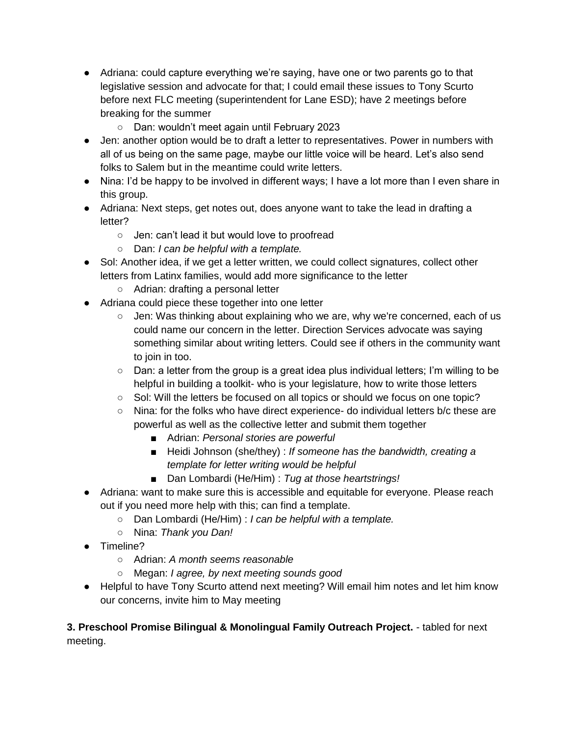- Adriana: could capture everything we're saying, have one or two parents go to that legislative session and advocate for that; I could email these issues to Tony Scurto before next FLC meeting (superintendent for Lane ESD); have 2 meetings before breaking for the summer
	- Dan: wouldn't meet again until February 2023
- Jen: another option would be to draft a letter to representatives. Power in numbers with all of us being on the same page, maybe our little voice will be heard. Let's also send folks to Salem but in the meantime could write letters.
- Nina: I'd be happy to be involved in different ways; I have a lot more than I even share in this group.
- Adriana: Next steps, get notes out, does anyone want to take the lead in drafting a letter?
	- Jen: can't lead it but would love to proofread
	- Dan: *I can be helpful with a template.*
- Sol: Another idea, if we get a letter written, we could collect signatures, collect other letters from Latinx families, would add more significance to the letter
	- Adrian: drafting a personal letter
- Adriana could piece these together into one letter
	- Jen: Was thinking about explaining who we are, why we're concerned, each of us could name our concern in the letter. Direction Services advocate was saying something similar about writing letters. Could see if others in the community want to join in too.
	- $\circ$  Dan: a letter from the group is a great idea plus individual letters; I'm willing to be helpful in building a toolkit- who is your legislature, how to write those letters
	- Sol: Will the letters be focused on all topics or should we focus on one topic?
	- Nina: for the folks who have direct experience- do individual letters b/c these are powerful as well as the collective letter and submit them together
		- Adrian: *Personal stories are powerful*
		- Heidi Johnson (she/they) : *If someone has the bandwidth, creating a template for letter writing would be helpful*
		- Dan Lombardi (He/Him) : *Tug at those heartstrings!*
- Adriana: want to make sure this is accessible and equitable for everyone. Please reach out if you need more help with this; can find a template.
	- Dan Lombardi (He/Him) : *I can be helpful with a template.*
	- Nina: *Thank you Dan!*
- Timeline?
	- Adrian: *A month seems reasonable*
	- Megan: *I agree, by next meeting sounds good*
- Helpful to have Tony Scurto attend next meeting? Will email him notes and let him know our concerns, invite him to May meeting

**3. Preschool Promise Bilingual & Monolingual Family Outreach Project.** - tabled for next meeting.